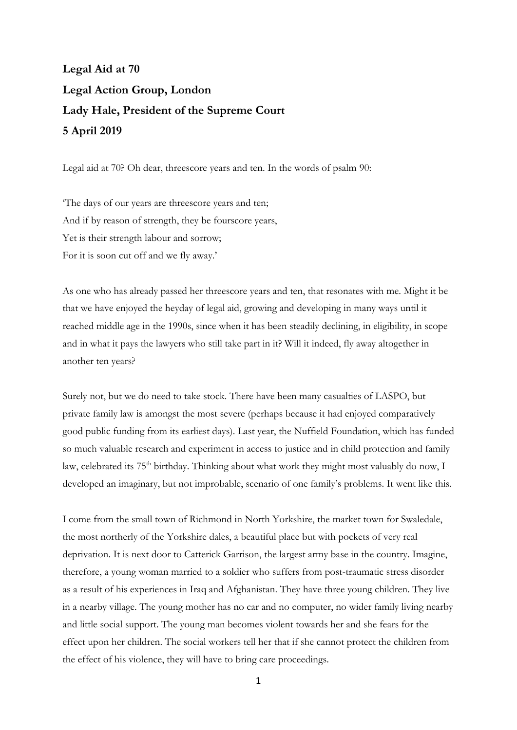## **Legal Aid at 70 Legal Action Group, London Lady Hale, President of the Supreme Court 5 April 2019**

Legal aid at 70? Oh dear, threescore years and ten. In the words of psalm 90:

'The days of our years are threescore years and ten; And if by reason of strength, they be fourscore years, Yet is their strength labour and sorrow; For it is soon cut off and we fly away.'

As one who has already passed her threescore years and ten, that resonates with me. Might it be that we have enjoyed the heyday of legal aid, growing and developing in many ways until it reached middle age in the 1990s, since when it has been steadily declining, in eligibility, in scope and in what it pays the lawyers who still take part in it? Will it indeed, fly away altogether in another ten years?

Surely not, but we do need to take stock. There have been many casualties of LASPO, but private family law is amongst the most severe (perhaps because it had enjoyed comparatively good public funding from its earliest days). Last year, the Nuffield Foundation, which has funded so much valuable research and experiment in access to justice and in child protection and family law, celebrated its 75<sup>th</sup> birthday. Thinking about what work they might most valuably do now, I developed an imaginary, but not improbable, scenario of one family's problems. It went like this.

I come from the small town of Richmond in North Yorkshire, the market town for Swaledale, the most northerly of the Yorkshire dales, a beautiful place but with pockets of very real deprivation. It is next door to Catterick Garrison, the largest army base in the country. Imagine, therefore, a young woman married to a soldier who suffers from post-traumatic stress disorder as a result of his experiences in Iraq and Afghanistan. They have three young children. They live in a nearby village. The young mother has no car and no computer, no wider family living nearby and little social support. The young man becomes violent towards her and she fears for the effect upon her children. The social workers tell her that if she cannot protect the children from the effect of his violence, they will have to bring care proceedings.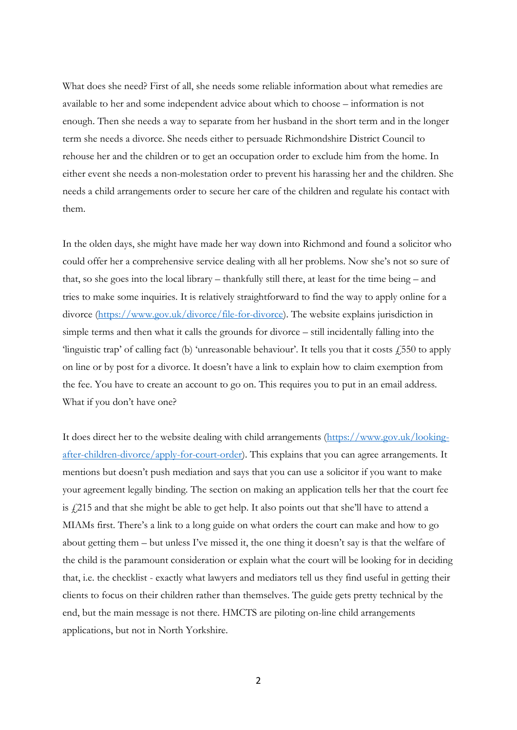What does she need? First of all, she needs some reliable information about what remedies are available to her and some independent advice about which to choose – information is not enough. Then she needs a way to separate from her husband in the short term and in the longer term she needs a divorce. She needs either to persuade Richmondshire District Council to rehouse her and the children or to get an occupation order to exclude him from the home. In either event she needs a non-molestation order to prevent his harassing her and the children. She needs a child arrangements order to secure her care of the children and regulate his contact with them.

In the olden days, she might have made her way down into Richmond and found a solicitor who could offer her a comprehensive service dealing with all her problems. Now she's not so sure of that, so she goes into the local library – thankfully still there, at least for the time being – and tries to make some inquiries. It is relatively straightforward to find the way to apply online for a divorce [\(https://www.gov.uk/divorce/file-for-divorce\)](https://www.gov.uk/divorce/file-for-divorce). The website explains jurisdiction in simple terms and then what it calls the grounds for divorce – still incidentally falling into the 'linguistic trap' of calling fact (b) 'unreasonable behaviour'. It tells you that it costs  $\angle 550$  to apply on line or by post for a divorce. It doesn't have a link to explain how to claim exemption from the fee. You have to create an account to go on. This requires you to put in an email address. What if you don't have one?

It does direct her to the website dealing with child arrangements [\(https://www.gov.uk/looking](https://www.gov.uk/looking-after-children-divorce/apply-for-court-)[after-children-divorce/apply-for-court-o](https://www.gov.uk/looking-after-children-divorce/apply-for-court-)rder). This explains that you can agree arrangements. It mentions but doesn't push mediation and says that you can use a solicitor if you want to make your agreement legally binding. The section on making an application tells her that the court fee is £215 and that she might be able to get help. It also points out that she'll have to attend a MIAMs first. There's a link to a long guide on what orders the court can make and how to go about getting them – but unless I've missed it, the one thing it doesn't say is that the welfare of the child is the paramount consideration or explain what the court will be looking for in deciding that, i.e. the checklist - exactly what lawyers and mediators tell us they find useful in getting their clients to focus on their children rather than themselves. The guide gets pretty technical by the end, but the main message is not there. HMCTS are piloting on-line child arrangements applications, but not in North Yorkshire.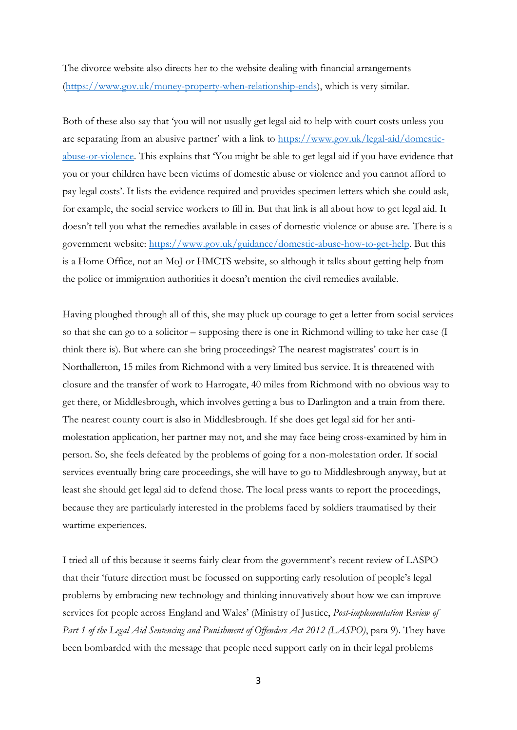The divorce website also directs her to the website dealing with financial arrangements [\(https://www.gov.uk/money-property-when-relationship-ends\)](https://www.gov.uk/money-property-when-relationship-ends), which is very similar.

Both of these also say that 'you will not usually get legal aid to help with court costs unless you are separating from an abusive partner' with a link to [https://www.gov.uk/legal-](https://www.gov.uk/legal)aid/domesticabuse-or-violence. This explains that 'You might be able to get legal aid if you have evidence that you or your children have been victims of domestic abuse or violence and you cannot afford to pay legal costs'. It lists the evidence required and provides specimen letters which she could ask, for example, the social service workers to fill in. But that link is all about how to get legal aid. It doesn't tell you what the remedies available in cases of domestic violence or abuse are. There is a government website: [https://www.gov.uk/guidance/domestic-abuse-how-to-get-help.](https://www.gov.uk/guidance/domestic-abuse-how-to-get-help) But this is a Home Office, not an MoJ or HMCTS website, so although it talks about getting help from the police or immigration authorities it doesn't mention the civil remedies available.

Having ploughed through all of this, she may pluck up courage to get a letter from social services so that she can go to a solicitor – supposing there is one in Richmond willing to take her case (I think there is). But where can she bring proceedings? The nearest magistrates' court is in Northallerton, 15 miles from Richmond with a very limited bus service. It is threatened with closure and the transfer of work to Harrogate, 40 miles from Richmond with no obvious way to get there, or Middlesbrough, which involves getting a bus to Darlington and a train from there. The nearest county court is also in Middlesbrough. If she does get legal aid for her antimolestation application, her partner may not, and she may face being cross-examined by him in person. So, she feels defeated by the problems of going for a non-molestation order. If social services eventually bring care proceedings, she will have to go to Middlesbrough anyway, but at least she should get legal aid to defend those. The local press wants to report the proceedings, because they are particularly interested in the problems faced by soldiers traumatised by their wartime experiences.

I tried all of this because it seems fairly clear from the government's recent review of LASPO that their 'future direction must be focussed on supporting early resolution of people's legal problems by embracing new technology and thinking innovatively about how we can improve services for people across England and Wales' (Ministry of Justice, *Post-implementation Review of Part 1 of the Legal Aid Sentencing and Punishment of Offenders Act 2012 (LASPO)*, para 9). They have been bombarded with the message that people need support early on in their legal problems

3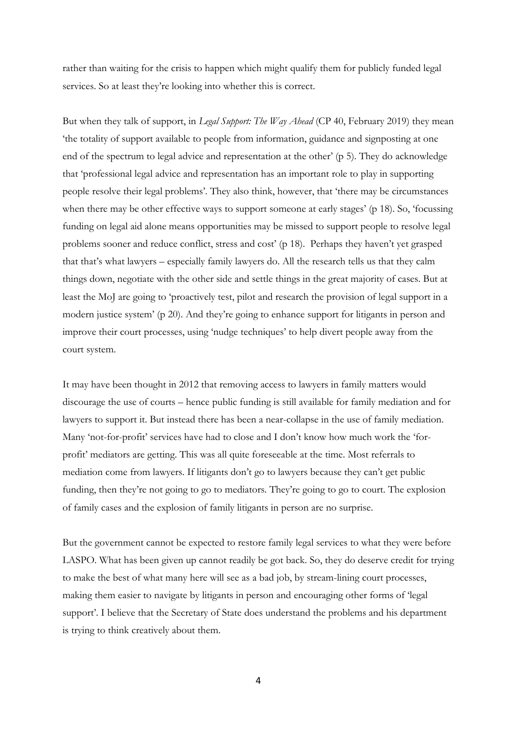rather than waiting for the crisis to happen which might qualify them for publicly funded legal services. So at least they're looking into whether this is correct.

But when they talk of support, in *Legal Support: The Way Ahead* (CP 40, February 2019) they mean 'the totality of support available to people from information, guidance and signposting at one end of the spectrum to legal advice and representation at the other' (p 5). They do acknowledge that 'professional legal advice and representation has an important role to play in supporting people resolve their legal problems'. They also think, however, that 'there may be circumstances when there may be other effective ways to support someone at early stages' (p 18). So, 'focussing funding on legal aid alone means opportunities may be missed to support people to resolve legal problems sooner and reduce conflict, stress and cost' (p 18). Perhaps they haven't yet grasped that that's what lawyers – especially family lawyers do. All the research tells us that they calm things down, negotiate with the other side and settle things in the great majority of cases. But at least the MoJ are going to 'proactively test, pilot and research the provision of legal support in a modern justice system' (p 20). And they're going to enhance support for litigants in person and improve their court processes, using 'nudge techniques' to help divert people away from the court system.

It may have been thought in 2012 that removing access to lawyers in family matters would discourage the use of courts – hence public funding is still available for family mediation and for lawyers to support it. But instead there has been a near-collapse in the use of family mediation. Many 'not-for-profit' services have had to close and I don't know how much work the 'forprofit' mediators are getting. This was all quite foreseeable at the time. Most referrals to mediation come from lawyers. If litigants don't go to lawyers because they can't get public funding, then they're not going to go to mediators. They're going to go to court. The explosion of family cases and the explosion of family litigants in person are no surprise.

But the government cannot be expected to restore family legal services to what they were before LASPO. What has been given up cannot readily be got back. So, they do deserve credit for trying to make the best of what many here will see as a bad job, by stream-lining court processes, making them easier to navigate by litigants in person and encouraging other forms of 'legal support'. I believe that the Secretary of State does understand the problems and his department is trying to think creatively about them.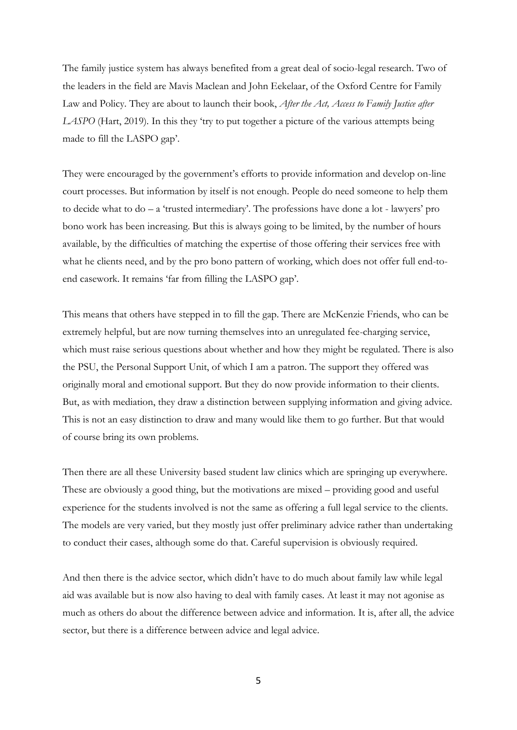The family justice system has always benefited from a great deal of socio-legal research. Two of the leaders in the field are Mavis Maclean and John Eekelaar, of the Oxford Centre for Family Law and Policy. They are about to launch their book, *After the Act, Access to Family Justice after LASPO* (Hart, 2019)*.* In this they 'try to put together a picture of the various attempts being made to fill the LASPO gap'.

They were encouraged by the government's efforts to provide information and develop on-line court processes. But information by itself is not enough. People do need someone to help them to decide what to do – a 'trusted intermediary'. The professions have done a lot - lawyers' pro bono work has been increasing. But this is always going to be limited, by the number of hours available, by the difficulties of matching the expertise of those offering their services free with what he clients need, and by the pro bono pattern of working, which does not offer full end-toend casework. It remains 'far from filling the LASPO gap'.

This means that others have stepped in to fill the gap. There are McKenzie Friends, who can be extremely helpful, but are now turning themselves into an unregulated fee-charging service, which must raise serious questions about whether and how they might be regulated. There is also the PSU, the Personal Support Unit, of which I am a patron. The support they offered was originally moral and emotional support. But they do now provide information to their clients. But, as with mediation, they draw a distinction between supplying information and giving advice. This is not an easy distinction to draw and many would like them to go further. But that would of course bring its own problems.

Then there are all these University based student law clinics which are springing up everywhere. These are obviously a good thing, but the motivations are mixed – providing good and useful experience for the students involved is not the same as offering a full legal service to the clients. The models are very varied, but they mostly just offer preliminary advice rather than undertaking to conduct their cases, although some do that. Careful supervision is obviously required.

And then there is the advice sector, which didn't have to do much about family law while legal aid was available but is now also having to deal with family cases. At least it may not agonise as much as others do about the difference between advice and information. It is, after all, the advice sector, but there is a difference between advice and legal advice.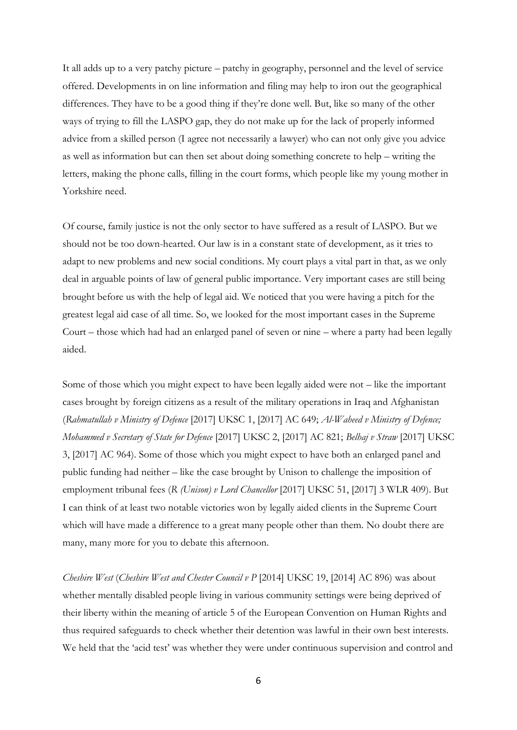It all adds up to a very patchy picture – patchy in geography, personnel and the level of service offered. Developments in on line information and filing may help to iron out the geographical differences. They have to be a good thing if they're done well. But, like so many of the other ways of trying to fill the LASPO gap, they do not make up for the lack of properly informed advice from a skilled person (I agree not necessarily a lawyer) who can not only give you advice as well as information but can then set about doing something concrete to help – writing the letters, making the phone calls, filling in the court forms, which people like my young mother in Yorkshire need.

Of course, family justice is not the only sector to have suffered as a result of LASPO. But we should not be too down-hearted. Our law is in a constant state of development, as it tries to adapt to new problems and new social conditions. My court plays a vital part in that, as we only deal in arguable points of law of general public importance. Very important cases are still being brought before us with the help of legal aid. We noticed that you were having a pitch for the greatest legal aid case of all time. So, we looked for the most important cases in the Supreme Court – those which had had an enlarged panel of seven or nine – where a party had been legally aided.

Some of those which you might expect to have been legally aided were not – like the important cases brought by foreign citizens as a result of the military operations in Iraq and Afghanistan (*Rahmatullah v Ministry of Defence* [2017] UKSC 1, [2017] AC 649; *Al-Waheed v Ministry of Defence; Mohammed v Secretary of State for Defence* [2017] UKSC 2, [2017] AC 821; *Belhaj v Straw* [2017] UKSC 3, [2017] AC 964). Some of those which you might expect to have both an enlarged panel and public funding had neither – like the case brought by Unison to challenge the imposition of employment tribunal fees (*R (Unison) v Lord Chancellor* [2017] UKSC 51, [2017] 3 WLR 409). But I can think of at least two notable victories won by legally aided clients in the Supreme Court which will have made a difference to a great many people other than them. No doubt there are many, many more for you to debate this afternoon.

*Cheshire West* (*Cheshire West and Chester Council v P* [2014] UKSC 19, [2014] AC 896) was about whether mentally disabled people living in various community settings were being deprived of their liberty within the meaning of article 5 of the European Convention on Human Rights and thus required safeguards to check whether their detention was lawful in their own best interests. We held that the 'acid test' was whether they were under continuous supervision and control and